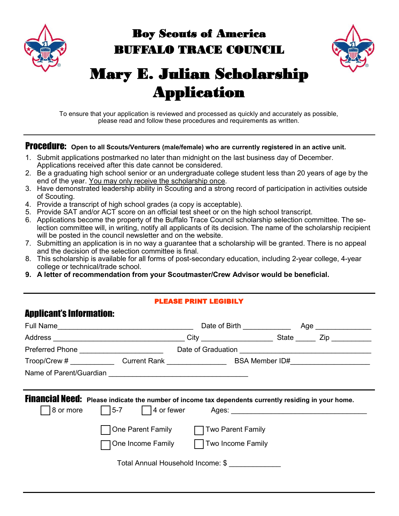

# Boy Scouts of America BUFFALO TRACE COUNCIL



# Mary E. Julian Scholarship Application

To ensure that your application is reviewed and processed as quickly and accurately as possible, please read and follow these procedures and requirements as written.

#### Procedure: Open to all Scouts/Venturers (male/female) who are currently registered in an active unit.

- 1. Submit applications postmarked no later than midnight on the last business day of December. Applications received after this date cannot be considered.
- 2. Be a graduating high school senior or an undergraduate college student less than 20 years of age by the end of the year. You may only receive the scholarship once.
- 3. Have demonstrated leadership ability in Scouting and a strong record of participation in activities outside of Scouting.
- 4. Provide a transcript of high school grades (a copy is acceptable).
- 5. Provide SAT and/or ACT score on an official test sheet or on the high school transcript.
- 6. Applications become the property of the Buffalo Trace Council scholarship selection committee. The selection committee will, in writing, notify all applicants of its decision. The name of the scholarship recipient will be posted in the council newsletter and on the website.
- 7. Submitting an application is in no way a guarantee that a scholarship will be granted. There is no appeal and the decision of the selection committee is final.
- 8. This scholarship is available for all forms of post-secondary education, including 2-year college, 4-year college or technical/trade school.
- **9. A letter of recommendation from your Scoutmaster/Crew Advisor would be beneficial.**

#### PLEASE PRINT LEGIBILY

# Applicant's Information:

|  |                                                                                                                                        | Date of Birth <u>________________</u>                    | Age ___ |  |
|--|----------------------------------------------------------------------------------------------------------------------------------------|----------------------------------------------------------|---------|--|
|  |                                                                                                                                        |                                                          |         |  |
|  | Preferred Phone <u>______________________</u>                                                                                          | Date of Graduation <u>______________________________</u> |         |  |
|  | Troop/Crew # _______________Current Rank _____________________________BSA Member ID#______________________                             |                                                          |         |  |
|  |                                                                                                                                        |                                                          |         |  |
|  |                                                                                                                                        |                                                          |         |  |
|  | Financial Need: Please indicate the number of income tax dependents currently residing in your home.<br>8 or more 5-7 4 or fewer Ages: |                                                          |         |  |
|  | One Parent Family   Two Parent Family                                                                                                  |                                                          |         |  |
|  | One Income Family   Two Income Family                                                                                                  |                                                          |         |  |
|  |                                                                                                                                        |                                                          |         |  |